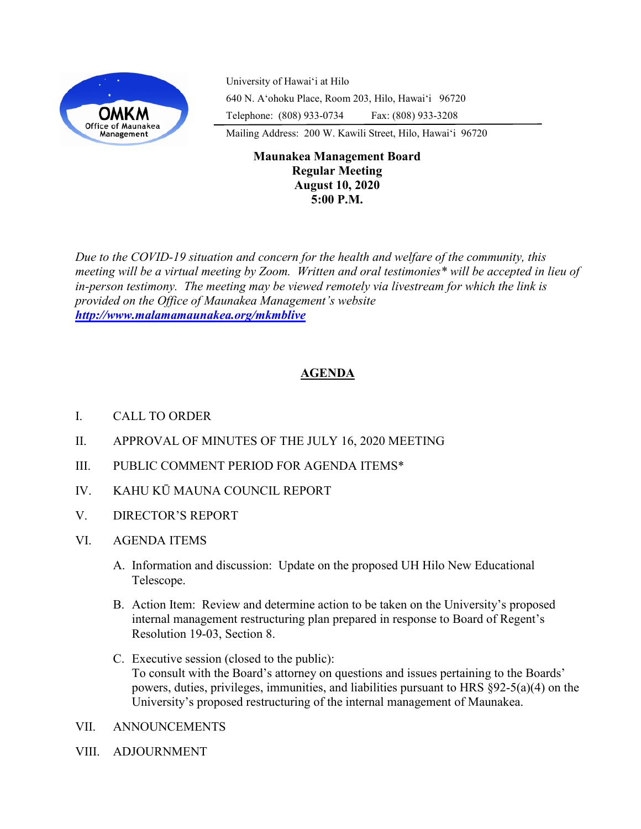

University of Hawaiʻi at Hilo 640 N. A'ohoku Place, Room 203, Hilo, Hawai'i 96720 Telephone: (808) 933-0734 Fax: (808) 933-3208

Mailing Address: 200 W. Kawili Street, Hilo, Hawai'i 96720

## **Maunakea Management Board Regular Meeting August 10, 2020 5:00 P.M.**

*Due to the COVID-19 situation and concern for the health and welfare of the community, this meeting will be a virtual meeting by Zoom. Written and oral testimonies\* will be accepted in lieu of in-person testimony. The meeting may be viewed remotely via livestream for which the link is provided on the Office of Maunakea Management's website <http://www.malamamaunakea.org/mkmblive>*

# **AGENDA**

- I. CALL TO ORDER
- II. APPROVAL OF MINUTES OF THE JULY 16, 2020 MEETING
- III. PUBLIC COMMENT PERIOD FOR AGENDA ITEMS\*
- IV. KAHU KŪ MAUNA COUNCIL REPORT
- V. DIRECTOR'S REPORT
- VI. AGENDA ITEMS
	- A. Information and discussion: Update on the proposed UH Hilo New Educational Telescope.
	- B. Action Item: Review and determine action to be taken on the University's proposed internal management restructuring plan prepared in response to Board of Regent's Resolution 19-03, Section 8.
	- C. Executive session (closed to the public): To consult with the Board's attorney on questions and issues pertaining to the Boards' powers, duties, privileges, immunities, and liabilities pursuant to HRS §92-5(a)(4) on the University's proposed restructuring of the internal management of Maunakea.
- VII. ANNOUNCEMENTS
- VIII. ADJOURNMENT